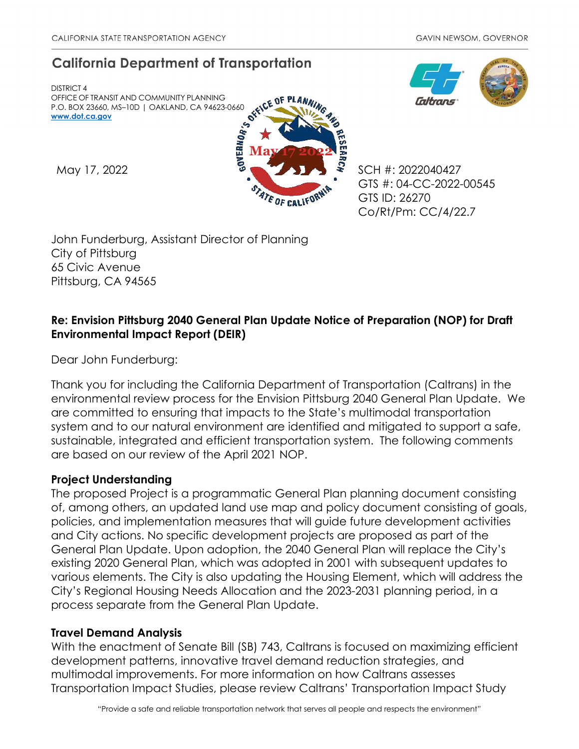# **California Department of Transportation**

DISTRICT 4 OFFICE OF TRANSIT AND COMMUNITY PLANNING P.O. BOX 23660, MS–10D | OAKLAND, CA 94623-0660 **[www.dot.ca.gov](http://www.dot.ca.gov/)**



**Gitrans** 

GTS #: 04-CC-2022-00545 GTS ID: 26270 Co/Rt/Pm: CC/4/22.7

John Funderburg, Assistant Director of Planning City of Pittsburg 65 Civic Avenue Pittsburg, CA 94565

# **Re: Envision Pittsburg 2040 General Plan Update Notice of Preparation (NOP) for Draft Environmental Impact Report (DEIR)**

Dear John Funderburg:

Thank you for including the California Department of Transportation (Caltrans) in the environmental review process for the Envision Pittsburg 2040 General Plan Update. We are committed to ensuring that impacts to the State's multimodal transportation system and to our natural environment are identified and mitigated to support a safe, sustainable, integrated and efficient transportation system. The following comments are based on our review of the April 2021 NOP.

## **Project Understanding**

The proposed Project is a programmatic General Plan planning document consisting of, among others, an updated land use map and policy document consisting of goals, policies, and implementation measures that will guide future development activities and City actions. No specific development projects are proposed as part of the General Plan Update. Upon adoption, the 2040 General Plan will replace the City's existing 2020 General Plan, which was adopted in 2001 with subsequent updates to various elements. The City is also updating the Housing Element, which will address the City's Regional Housing Needs Allocation and the 2023-2031 planning period, in a process separate from the General Plan Update.

## **Travel Demand Analysis**

With the enactment of Senate Bill (SB) 743, Caltrans is focused on maximizing efficient development patterns, innovative travel demand reduction strategies, and multimodal improvements. For more information on how Caltrans assesses Transportation Impact Studies, please review Caltrans' [Transportation Impact Study](https://dot.ca.gov/-/media/dot-media/programs/transportation-planning/documents/sb-743/2020-05-20-approved-vmt-focused-tisg-a11y.pdf)